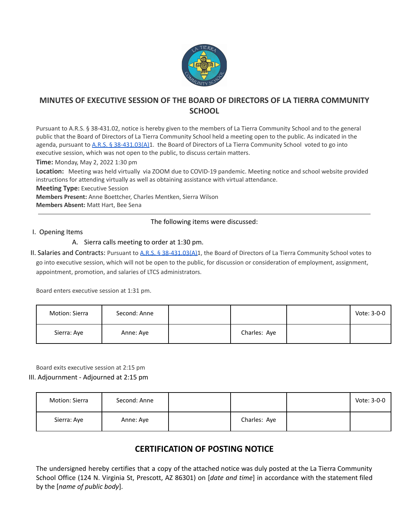

# **MINUTES OF EXECUTIVE SESSION OF THE BOARD OF DIRECTORS OF LA TIERRA COMMUNITY SCHOOL**

Pursuant to A.R.S. § 38-431.02, notice is hereby given to the members of La Tierra Community School and to the general public that the Board of Directors of La Tierra Community School held a meeting open to the public. As indicated in the agenda, pursuant to A.R.S. § [38-431.03\(A\)1](https://www.azleg.gov/ars/38/00431-03.htm). the Board of Directors of La Tierra Community School voted to go into executive session, which was not open to the public, to discuss certain matters.

**Time:** Monday, May 2, 2022 1:30 pm

**Location:** Meeting was held virtually via ZOOM due to COVID-19 pandemic. Meeting notice and school website provided instructions for attending virtually as well as obtaining assistance with virtual attendance.

**Meeting Type:** Executive Session

**Members Present:** Anne Boettcher, Charles Mentken, Sierra Wilson

**Members Absent:** Matt Hart, Bee Sena

## The following items were discussed:

#### I. Opening Items

## A. Sierra calls meeting to order at 1:30 pm.

II. Salaries and Contracts: Pursuant to A.R.S. § [38-431.03\(A\)1](https://www.azleg.gov/ars/38/00431-03.htm), the Board of Directors of La Tierra Community School votes to go into executive session, which will not be open to the public, for discussion or consideration of employment, assignment, appointment, promotion, and salaries of LTCS administrators.

Board enters executive session at 1:31 pm.

| Motion: Sierra | Second: Anne |              | Vote: 3-0-0 |
|----------------|--------------|--------------|-------------|
| Sierra: Aye    | Anne: Aye    | Charles: Aye |             |

Board exits executive session at 2:15 pm

#### III. Adjournment - Adjourned at 2:15 pm

| Motion: Sierra | Second: Anne |              | Vote: 3-0-0 |
|----------------|--------------|--------------|-------------|
| Sierra: Aye    | Anne: Aye    | Charles: Aye |             |

# **CERTIFICATION OF POSTING NOTICE**

The undersigned hereby certifies that a copy of the attached notice was duly posted at the La Tierra Community School Office (124 N. Virginia St, Prescott, AZ 86301) on [*date and time*] in accordance with the statement filed by the [*name of public body*].